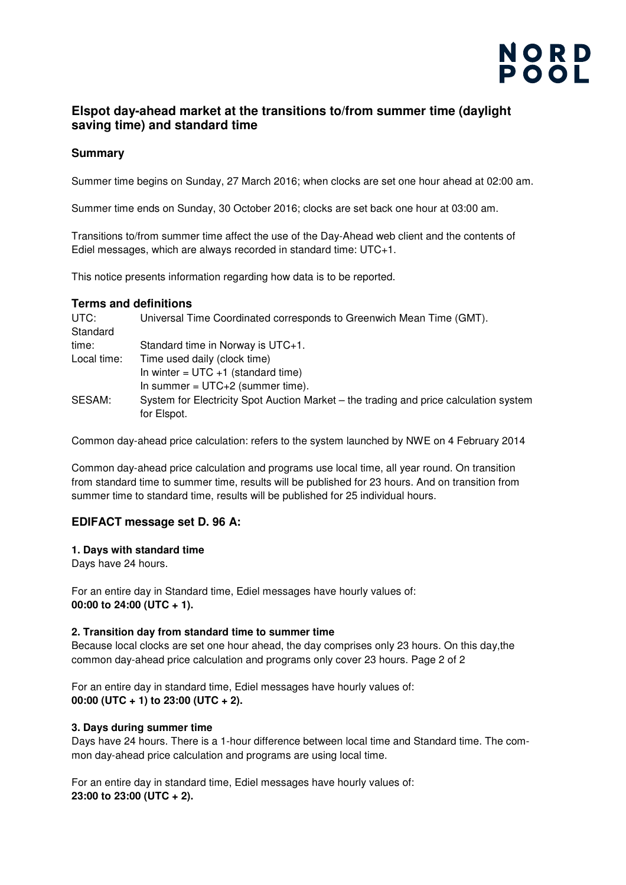# NORD<br>POOL

# **Elspot day-ahead market at the transitions to/from summer time (daylight saving time) and standard time**

## **Summary**

Summer time begins on Sunday, 27 March 2016; when clocks are set one hour ahead at 02:00 am.

Summer time ends on Sunday, 30 October 2016; clocks are set back one hour at 03:00 am.

Transitions to/from summer time affect the use of the Day-Ahead web client and the contents of Ediel messages, which are always recorded in standard time: UTC+1.

This notice presents information regarding how data is to be reported.

### **Terms and definitions**

| UTC:        | Universal Time Coordinated corresponds to Greenwich Mean Time (GMT).                  |
|-------------|---------------------------------------------------------------------------------------|
| Standard    |                                                                                       |
| time:       | Standard time in Norway is UTC+1.                                                     |
| Local time: | Time used daily (clock time)                                                          |
|             | In winter = $UTC + 1$ (standard time)                                                 |
|             | In summer = $UTC+2$ (summer time).                                                    |
| SESAM:      | System for Electricity Spot Auction Market – the trading and price calculation system |
|             | for Elspot.                                                                           |

Common day-ahead price calculation: refers to the system launched by NWE on 4 February 2014

Common day-ahead price calculation and programs use local time, all year round. On transition from standard time to summer time, results will be published for 23 hours. And on transition from summer time to standard time, results will be published for 25 individual hours.

# **EDIFACT message set D. 96 A:**

#### **1. Days with standard time**

Days have 24 hours.

For an entire day in Standard time, Ediel messages have hourly values of: **00:00 to 24:00 (UTC + 1).** 

### **2. Transition day from standard time to summer time**

Because local clocks are set one hour ahead, the day comprises only 23 hours. On this day,the common day-ahead price calculation and programs only cover 23 hours. Page 2 of 2

For an entire day in standard time, Ediel messages have hourly values of: **00:00 (UTC + 1) to 23:00 (UTC + 2).** 

### **3. Days during summer time**

Days have 24 hours. There is a 1-hour difference between local time and Standard time. The common day-ahead price calculation and programs are using local time.

For an entire day in standard time, Ediel messages have hourly values of: **23:00 to 23:00 (UTC + 2).**